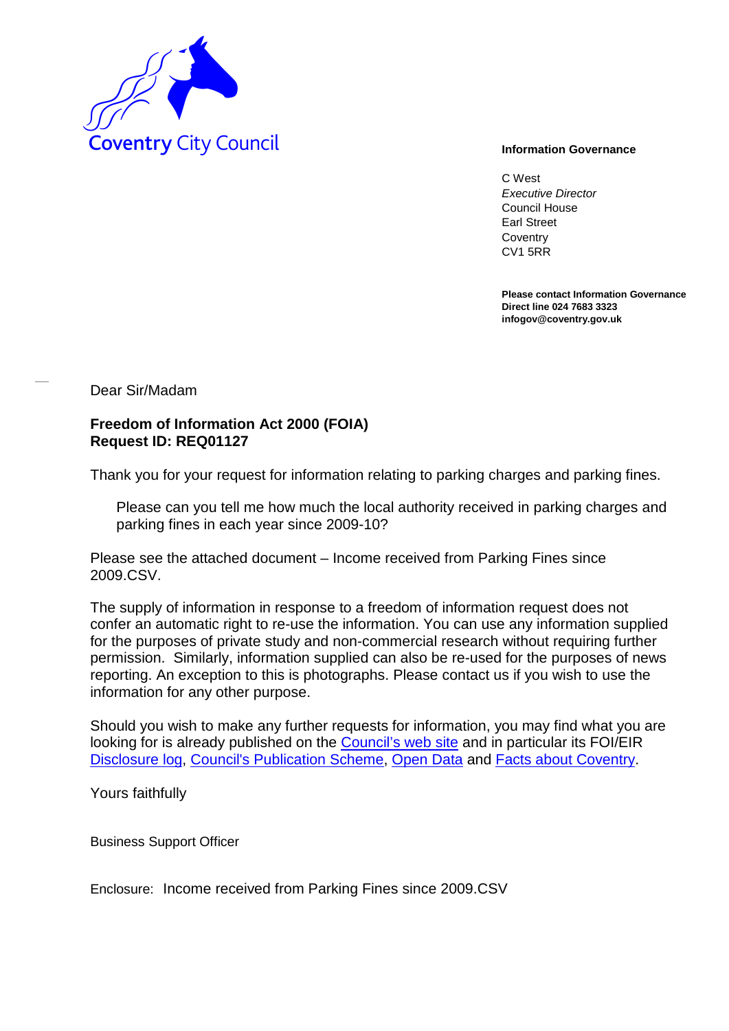

C West *Executive Director* Council House Earl Street **Coventry** CV1 5RR

**Please contact Information Governance Direct line 024 7683 3323 infogov@coventry.gov.uk** 

Dear Sir/Madam

## **Freedom of Information Act 2000 (FOIA) Request ID: REQ01127**

Thank you for your request for information relating to parking charges and parking fines.

Please can you tell me how much the local authority received in parking charges and parking fines in each year since 2009-10?

Please see the attached document – Income received from Parking Fines since 2009.CSV.

The supply of information in response to a freedom of information request does not confer an automatic right to re-use the information. You can use any information supplied for the purposes of private study and non-commercial research without requiring further permission. Similarly, information supplied can also be re-used for the purposes of news reporting. An exception to this is photographs. Please contact us if you wish to use the information for any other purpose.

Should you wish to make any further requests for information, you may find what you are looking for is already published on the [Council's web site](http://www.coventry.gov.uk/) and in particular its FOI/EIR [Disclosure log,](http://www.coventry.gov.uk/foieirrequests) [Council's Publication Scheme,](http://www.coventry.gov.uk/publicationscheme) [Open Data](http://www.coventry.gov.uk/opendata) and [Facts about Coventry.](http://www.coventry.gov.uk/factsaboutcoventry)

Yours faithfully

Business Support Officer

Enclosure: Income received from Parking Fines since 2009.CSV